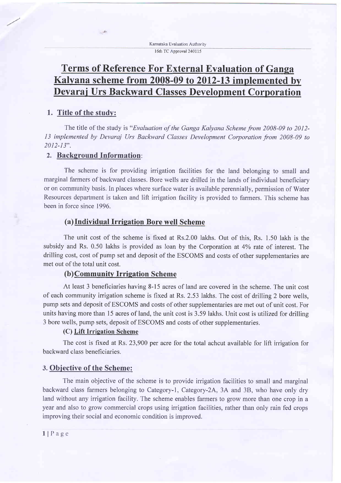Kamataka Evaluation Authorit, 16th TC Approval 240115

# Terms of Reference For External Evaluation of Ganga Kalvana scheme from 2008-09 to 2012-13 implemented by Devarai Urs Backward Classes Development Corporation

#### 1. Title of the study:

The title of the study is "Evaluation of the Ganga Kalyana Scheme from 2008-09 to 2012- 13 implemented by Devaraj Urs Backward Classes Development Corporation from 2008-09 to  $2012 - 13"$ .

#### 2. Background Information:

 $-$ 

The scheme is for providing irrigation facilities for the land belonging to small and marginal farmers of backward classes. Bore wells are drilled in the lands of individual beneficiary or on community basis. In places where surface water is available perennially, permission of Water Resources department is taken and lift irrigation facility is provided to farmers. This scheme has been in force since 1996.

#### (a)Individual Irrigation Bore well Scheme

The unit cost of the scheme is fixed at Rs.2.00 lakhs. Out of this, Rs. 1.50 lakh is the subsidy and Rs. 0.50 lakhs is provided as loan by the Corporation at 4% rate of interest. The drilling cost, cost of pump set and deposit of the ESCOMS and costs of other supplementaries are met out of the total unit cost.

# (b) Community Irrigation Scheme

At least 3 beneficiaries having 8-15 acres of land are covered in the scheme. The unit cost of each community irrigation scheme is fixed at Rs. 2.53 lakhs. The cost of drilling 2bore wells, pump sets and deposit of ESCOMS and costs of other supplementaries are met out of unit cost. For units having more than l5 acres of land, the unit cost is 3.59 lakhs. Unit cost is utilized for drilling 3 bore wells, pump sets, deposit of ESCOMS and costs of other supplementaries.

#### (C) Lift Irrieation Scheme

The cost is fixed at Rs. 23,900 per acre for the total achcut available for lift irrigation for backward class beneficiaries.

#### 3. Obiective of the Scheme:

The main objective of the scheme is to provide irigation facilities to small and marginal backward class farmers belonging to Category-1, Category-2A, 3A and 3B, who have only dry land without any irrigation facility. The scheme enables farmers to grow more than one crop in a year and also to grow commercial crops using irrigation facilities, rather than only rain fed crops improving their social and economic condition is improved.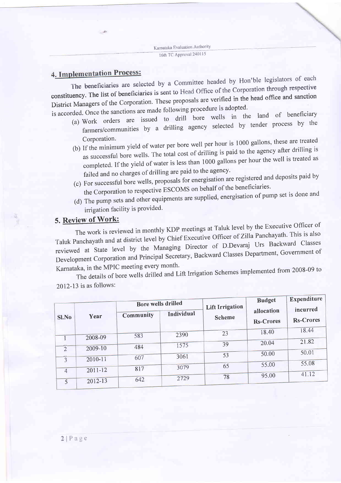-

 $-4$ 

4. Implementation Process:<br>The beneficiaries are selected by a Committee headed by Hon'ble legislators of each constituency. The list of beneficiaries is sent to Head Office of the Corporation through respective constituency. The list of beneficiaries is sent to field office of the comparation<br>District Managers of the Corporation. These proposals are verified in the head office and sanction<br>and following procedure is adopted.  $i$ s adop $i$ 

- is accorded. Once the sanctions are made following  $P^2$ (a) Work orders are issued to drill bore wells in the land of beneficiary farmers/communities by a drilling agency selected by tender process by the Corporation.
	- (b) If the minimum yield of water per bore well per hour is 1000 gallons, these are treated as successful bore wells. The total cost of drilling is paid to the agency after drilling is completed. If the yield of water is less than 1000 gallons per hour the well is treated as failed and no charges of drilling are paid to the agency.
	- (c) For successful bore wells, proposals for energisation are registered and deposits paid by the Corporation to respective ESCOMS on behalf of the beneficiaries.
	- (d) The pump sets and other equipments are supplied, energisation of pump set is done and irrigation facility is provided.

# 5. Review of Work:

The work is reviewed in monthly KDp meetings at Taluk level by the Executive officer of Taluk Panchayath and at district level by Chief Executive Officer of Zilla Panchayath. This is also reviewed at State level by the Managing Director of D.Devaraj Urs Backward Classes Development Corporation and Principal Secretary, Backward Classes Department, Government of Karnataka, in the MPIC meeting every month.

The details of bore wells drilled and Lift Irrigation Schemes implemented from 2008-09 to 2012-13 is as follows:

| Sl.No          | Year        | Bore wells drilled |            | <b>Lift Irrigation</b> | <b>Budget</b>                  | Expenditure                  |
|----------------|-------------|--------------------|------------|------------------------|--------------------------------|------------------------------|
|                |             | Community          | Individual | <b>Scheme</b>          | allocation<br><b>Rs-Crores</b> | incurred<br><b>Rs-Crores</b> |
|                |             | 583                | 2390       | 23                     | 18.40                          | 18.44                        |
|                | 2008-09     | 484                | 1575       | 39                     | 20.04                          | 21.82                        |
| $\overline{2}$ | 2009-10     |                    | 3061       | 53                     | 50.00                          | 50.01                        |
| $\mathbf{3}$   | 2010-11     | 607                | 3079       | 65                     | 55.00                          | 55.08                        |
| $\overline{4}$ | $2011 - 12$ | 817                |            | 78                     | 95.00                          | 41.12                        |
|                | $2012 - 13$ | 642                | 2729       |                        |                                |                              |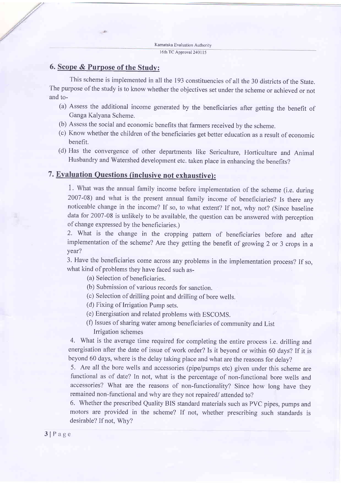# 6. Scope & Purpose of the Study:

 $\sqrt{2}$ 

This scheme is implemented in all the 193 constituencies of all the 30 districts of the State. The purpose of the study is to know whether the objectives set under the scheme or achieved or not and to-

- (a) Assess the additional income generated by the beneficiaries after getting the benefit of Ganga Kalyana Scheme.
- (b) Assess the social and economic benefits that farmers received by the scheme.
- (c) Know whether the children of the beneficiaries get better education as a result of economic benefit.
- (d) Has the convergence of other departments like Sericulture, Horticulture and Animal Husbandry and Watershed development etc. taken place in enhancing the benefits?

# 7. Evaluation Ouestions (inclusive not exhaustive):

1. What was the annual family income before implementation of the scheme (i.e. during <sup>2007</sup>-08) and what is the present annual family income of beneficiaries? Is there any noticeable change in the income? If so, to what extent? If not, why not? (Since baseline data for 2007-08 is unlikely to be available, the question can be answered with perception of change expressed by the beneficiaries.)

2. What is the change in the cropping pattern of beneficiaries before and after implementation of the scheme? Are they getting the benefit of growing 2 or 3 crops in <sup>a</sup> year?

3. Have the beneficiaries come across any problems in the implementation process? If so, what kind of problems they have faced such as-

- (a) Selection of beneficiaries.
- (b) Submission of various records for sanction.
- (c) Selection of drilling point and drilling of bore wells.
- (d) Fixing of Irrigation Pump sets.
- (e) Energisation and related problems with ESCOMS.
- (f) Issues of sharing water among beneficiaries of community and List
- Irrigation schemes

4. What is the average time required for completing the entire process i.e. drilling and energisation after the date of issue of work order? Is it beyond or within 60 days? If it is beyond 60 days, where is the delay taking place and what are the reasons for delay?

5. Are all the bore wells and accessories (pipe/pumps etc) given under this scheme are functional as of date? In not, what is the percentage of non-functional bore wells and accessories? What are the reasons of non-functionality? Since how long have they remained non-functional and why are they not repaired/attended to?

6. Whether the prescribed Quality BIS standard materials such as PVC pipes, pumps and motors are provided in the scheme? If not, whether prescribing such standards is desirable? If not, Why?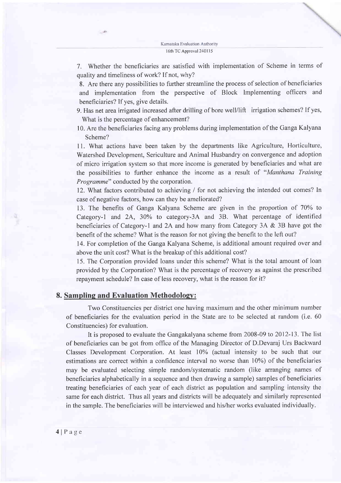7. Whether the beneficiaries are satisfied with implementation of Scheme in terms of quality and timeliness of work? If not, why?

8. Are there any possibilities to further streamline the process of selection of beneficiaries and implementation from the perspective of Block Implementing officers and beneficiaries? If yes, give details.

9. Has net area irrigated increased after drilling of bore well/lift irrigation schemes? If yes, What is the percentage of enhancement?

10. Are the beneficiaries facing any problems during implementation of the Ganga Kalyana Scheme?

<sup>I</sup>l. What actions have been taken by the departments like Agriculture, Hofticulture, Watershed Development, Sericulture and Animal Husbandry on convergence and adoption of micro irrigation system so that more income is generated by beneficiaries and what are the possibilities to further enhance the income as a result of "Manthana Training Programme" conducted by the corporation.

12. What factors contributed to achieving / for not achieving the intended out comes? In case of negative factors, how can they be ameliorated?

13. The benefits of Ganga Kalyana Scheme are given in the proportion of 70% to Category-1 and 2A, 30% to category-3A and 3B. What percentage of identified beneficiaries of Category-1 and 2A and how many from Category 3A  $&$  3B have got the benefit of the scheme? What is the reason for not giving the benefit to the left out?

14. For completion of the Ganga Kalyana Scheme, is additional amount required over and above the unit cost? What is the breakup of this additional cost?

15. The Corporation provided loans under this scheme? What is the total amount of loan provided by the Corporation? What is the percentage of recovery as against the prescribed repayment schedule? In case of less recovery, what is the reason for it?

#### 8. Sampling and Evaluation Methodology:

 $-45$ 

Two Constituencies per district one having maximum and the other minimum number of beneficiaries for the evaluation period in the State are to be selected at random (i.e. 60 Constituencies) for evaluation.

It is proposed to evaluate the Gangakalyana scheme from 2008-09 to 2012-13. The list of beneficiaries can be got from office of the Managing Director of D.Devaraj Urs Backward Classes Development Corporation. At least 10% (actual intensity to be such that our estimations are correct within a confidence interval no worse than 10%) of the beneficiaries may be evaluated selecting simple random/systematic random (like arranging names of beneficiaries alphabetically in a sequence and then drawing a sample) samples of beneficiaries treating beneficiaries of each year of each district as population and sampling intensity the same for each district. Thus all years and districts will be adequately and similarly represented in the sample. The beneficiaries will be interviewed and his/her works evaluated individually.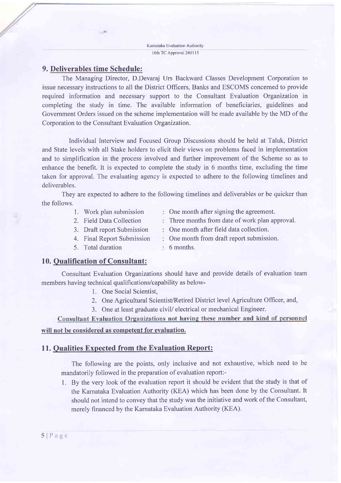Kamataka Evaluation Authority 16th TC Approval 240115

### 9. Deliverables time Schedule:

 $\mathcal{A}$ 

The Managing Director, D.Devaraj Urs Backward Classes Development Corporation to issue necessary instructions to all the District Officers, Banks and ESCOMS concerned to provide required information and necessary support to the Consultant Evaluation Organization in completing the study in time. The available information of beneficiaries, guidelines and Government Orders issued on the scheme implementation will be made available by the MD of the Corporation to the Consultant Evaluation Organization.

Individual Interview and Focused Group Discussions should be held at Taluk, District and State levels with all Stake holders to elicit their views on problems faced in implementation and to simplification in the process involved and further improvement of the Scheme so as to enhance the benefit. It is expected to complete the study in 6 months time, excluding the time taken for approval. The evaluating agency is expected to adhere to the following timelines and deliverables.

They are expected to adhere to the following timelines and deliverables or be quicker than the follows.

- 1. Work plan submission
- 2. Field Data Collection
- One month after signing the agreement.
- Three months from date of work plan approval.
	- One month after field data collection.
- 3. Draft report Submission 4. Final Report Submission
	- One month from draft report submission.
- 5. Total duration
- 6 months.

#### 10. Qualification of Consultant:

Consultant Evaluation Organizations should have and provide details of evaluation team members having technical qualifications/capability as below-

- 1. One Social Scientist,
- 2. One Agricultural Scientist/Retired District level Agriculture Officer, and,
- 3. One at least graduate civil/ electrical or mechanical Engineer.

Consultant Evaluation Organizations not having these number and kind of personnel

# will not be considered as competent for evaluation.

## 11. Qualities Expected from the Evaluation Report:

The following are the points, only inclusive and not exhaustive, which need to be mandatorily followed in the preparation of evaluation report:-

1. By the very look of the evaluation report it should be evident that the study is that of the Karnataka Evaluation Authority (KEA) which has been done by the Consultant. It should not intend to convey that the study was the initiative and work of the Consultant, merely financed by the Karnataka Evaluation Authority (KEA).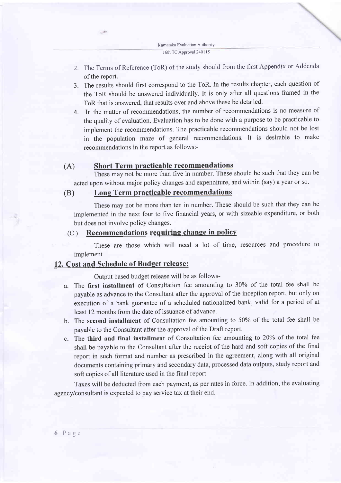Kamataka Evaluation Authority <sup>I</sup>6th TC ApProval 240115

- 2. The Terms of Reference (ToR) of the study should from the first Appendix or Addenda of the report.
- 3. The results should first correspond to the ToR. In the results chapter, each question of the ToR should be answered individually. It is only after all questions framed in the ToR that is answered. that results over and above these be detailed.
- 4. In the matter of recommendations, the number of recommendations is no measure of the quality of evaluation. Evaluation has to be done with a purpose to be practicable to implement the recommendations. The practicable recommendations should not be lost in the population maze of general recommendations. It is desirable to make recommendations in the report as follows:-

## (A) Short Term practicable recommendations

These may not be more than five in number. These should be such that they can be acted upon without major policy changes and expenditure, and within (say) a year or so.

## (B) Long Term practicable recommendations

These may not be more than ten in number. These should be such that they can be implemented in the next four to five financial years, or with sizeable expenditure, or both but does not involve policy changes.

### $(C)$  Recommendations requiring change in policy

These are those which will need a lot of time, resources and procedure to implement.

# 12. Cost and Schedule of Budget release:

 $-45$ 

Output based budget release will be as follows-

- a. The first installment of Consultation fee amounting to 30Yo of the total fee shall be payable as advance to the Consultant after the approval of the inception report, but only on execution of a bank guarantee of a scheduled nationalized bank, valid for a period of at least 12 months from the date of issuance of advance.
- b. The second installment of Consultation fee amounting to 50% of the total fee shall be payable to the Consultant after the approval of the Draft report.
- c. The third and final installment of Consultation fee amounting to 20Yo of the total fee shall be payable to the Consultant after the receipt of the hard and soft copies of the final report in such format and number as prescribed in the agreement, along with all original documents containing primary and secondary data, processed data outputs, study report and soft copies of all literature used in the final report.

Taxes will be deducted from each payment, as per rates in force. In addition, the evaluating agency/consultant is expected to pay service tax at their end.